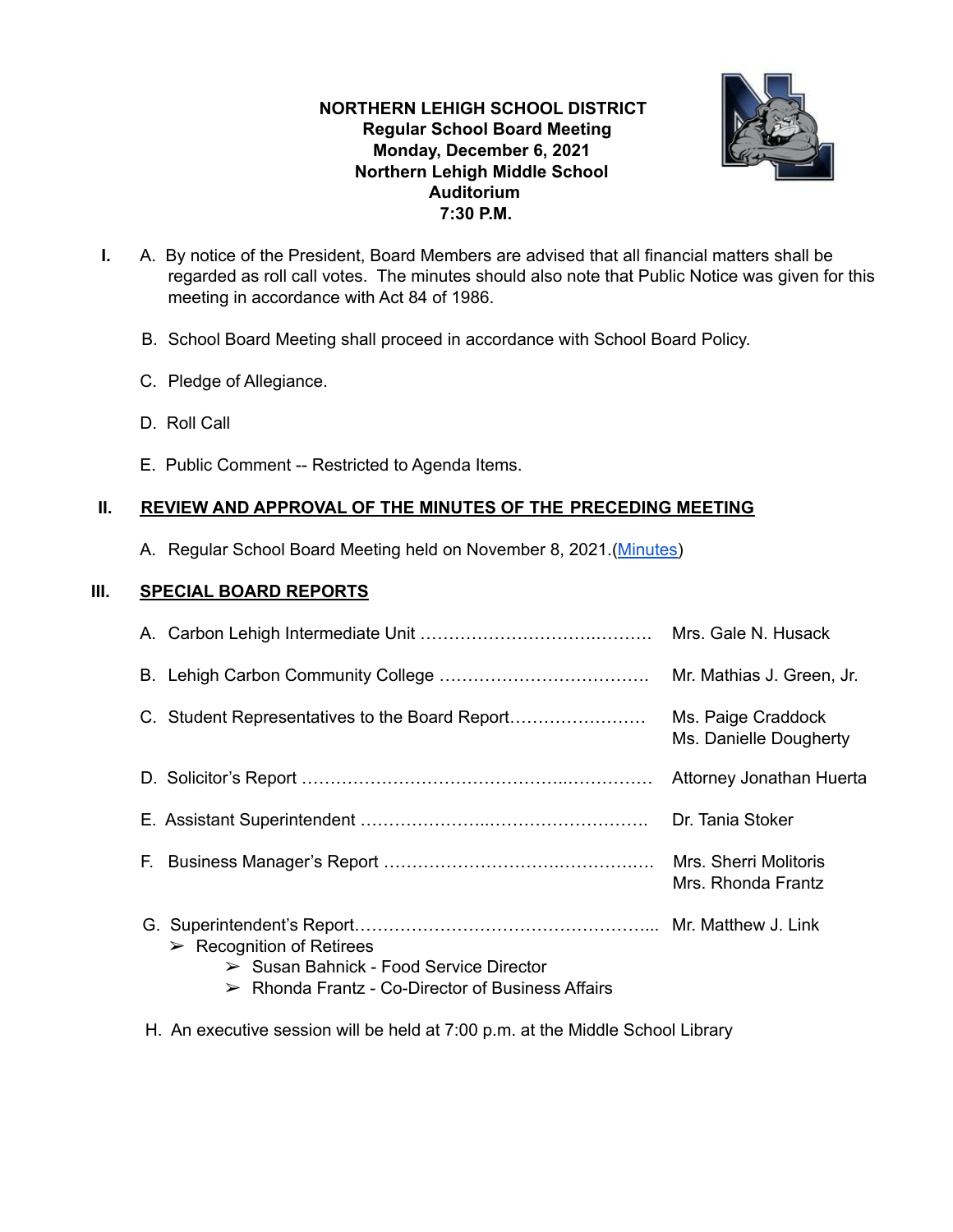# **NORTHERN LEHIGH SCHOOL DISTRICT Regular School Board Meeting Monday, December 6, 2021 Northern Lehigh Middle School Auditorium 7:30 P.M.**



- **I.** A. By notice of the President, Board Members are advised that all financial matters shall be regarded as roll call votes. The minutes should also note that Public Notice was given for this meeting in accordance with Act 84 of 1986.
	- B. School Board Meeting shall proceed in accordance with School Board Policy.
	- C. Pledge of Allegiance.
	- D. Roll Call
	- E. Public Comment -- Restricted to Agenda Items.

## **II. REVIEW AND APPROVAL OF THE MINUTES OF THE PRECEDING MEETING**

A. Regular School Board Meeting held on November 8, 2021.[\(Minutes\)](https://drive.google.com/file/d/10XO5NnFssI9oQN87b3Nc26f0yS0n6P6b/view?usp=sharing)

## **III. SPECIAL BOARD REPORTS**

|                                                                                                                                                                        | Mrs. Gale N. Husack                          |
|------------------------------------------------------------------------------------------------------------------------------------------------------------------------|----------------------------------------------|
|                                                                                                                                                                        | Mr. Mathias J. Green, Jr.                    |
| C. Student Representatives to the Board Report                                                                                                                         | Ms. Paige Craddock<br>Ms. Danielle Dougherty |
|                                                                                                                                                                        | Attorney Jonathan Huerta                     |
|                                                                                                                                                                        | Dr. Tania Stoker                             |
|                                                                                                                                                                        | Mrs. Sherri Molitoris<br>Mrs. Rhonda Frantz  |
| $\triangleright$ Recognition of Retirees<br>$\triangleright$ Susan Bahnick - Food Service Director<br>$\triangleright$ Rhonda Frantz - Co-Director of Business Affairs |                                              |

H. An executive session will be held at 7:00 p.m. at the Middle School Library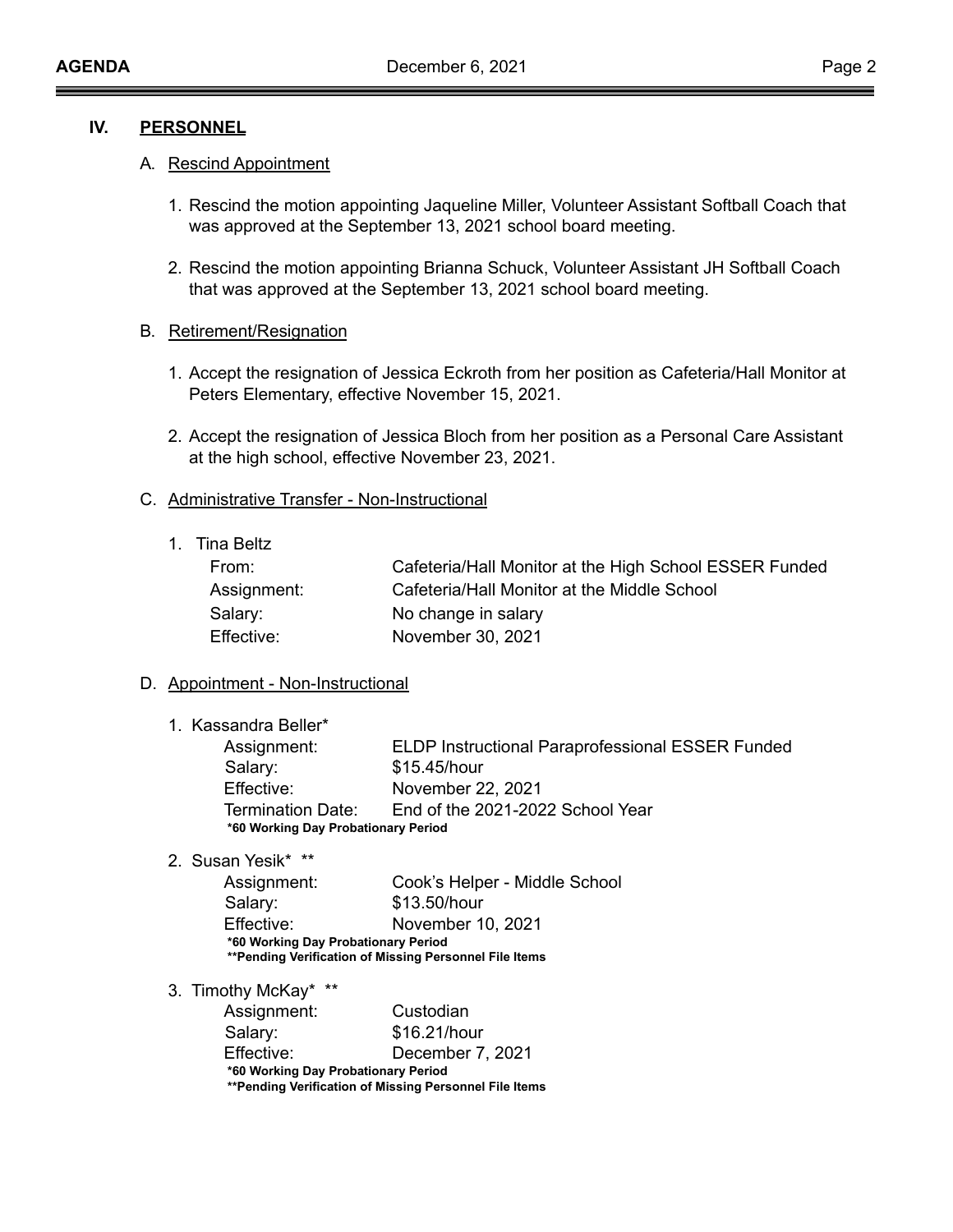## **IV. PERSONNEL**

### A**.** Rescind Appointment

- 1. Rescind the motion appointing Jaqueline Miller, Volunteer Assistant Softball Coach that was approved at the September 13, 2021 school board meeting.
- 2. Rescind the motion appointing Brianna Schuck, Volunteer Assistant JH Softball Coach that was approved at the September 13, 2021 school board meeting.

### B**.** Retirement/Resignation

- 1. Accept the resignation of Jessica Eckroth from her position as Cafeteria/Hall Monitor at Peters Elementary, effective November 15, 2021.
- 2. Accept the resignation of Jessica Bloch from her position as a Personal Care Assistant at the high school, effective November 23, 2021.

### C. Administrative Transfer - Non-Instructional

1. Tina Beltz

| From:       | Cafeteria/Hall Monitor at the High School ESSER Funded |
|-------------|--------------------------------------------------------|
| Assignment: | Cafeteria/Hall Monitor at the Middle School            |
| Salary:     | No change in salary                                    |
| Effective:  | November 30, 2021                                      |

### D. Appointment - Non-Instructional

1. Kassandra Beller\*

| Assignment:                         | <b>ELDP Instructional Paraprofessional ESSER Funded</b> |  |  |  |
|-------------------------------------|---------------------------------------------------------|--|--|--|
| Salary:                             | \$15.45/hour                                            |  |  |  |
| Effective:                          | November 22, 2021                                       |  |  |  |
| Termination Date:                   | End of the 2021-2022 School Year                        |  |  |  |
| *60 Working Day Probationary Period |                                                         |  |  |  |

2. Susan Yesik\* \*\*

Assignment: Cook's Helper - Middle School Salary: \$13.50/hour Effective: November 10, 2021 **\*60 Working Day Probationary Period \*\*Pending Verification of Missing Personnel File Items**

3. Timothy McKay\* \*\*

| Assignment:                                             | Custodian        |  |  |  |
|---------------------------------------------------------|------------------|--|--|--|
| Salary:                                                 | \$16.21/hour     |  |  |  |
| Effective:                                              | December 7, 2021 |  |  |  |
| *60 Working Day Probationary Period                     |                  |  |  |  |
| ** Pending Verification of Missing Personnel File Items |                  |  |  |  |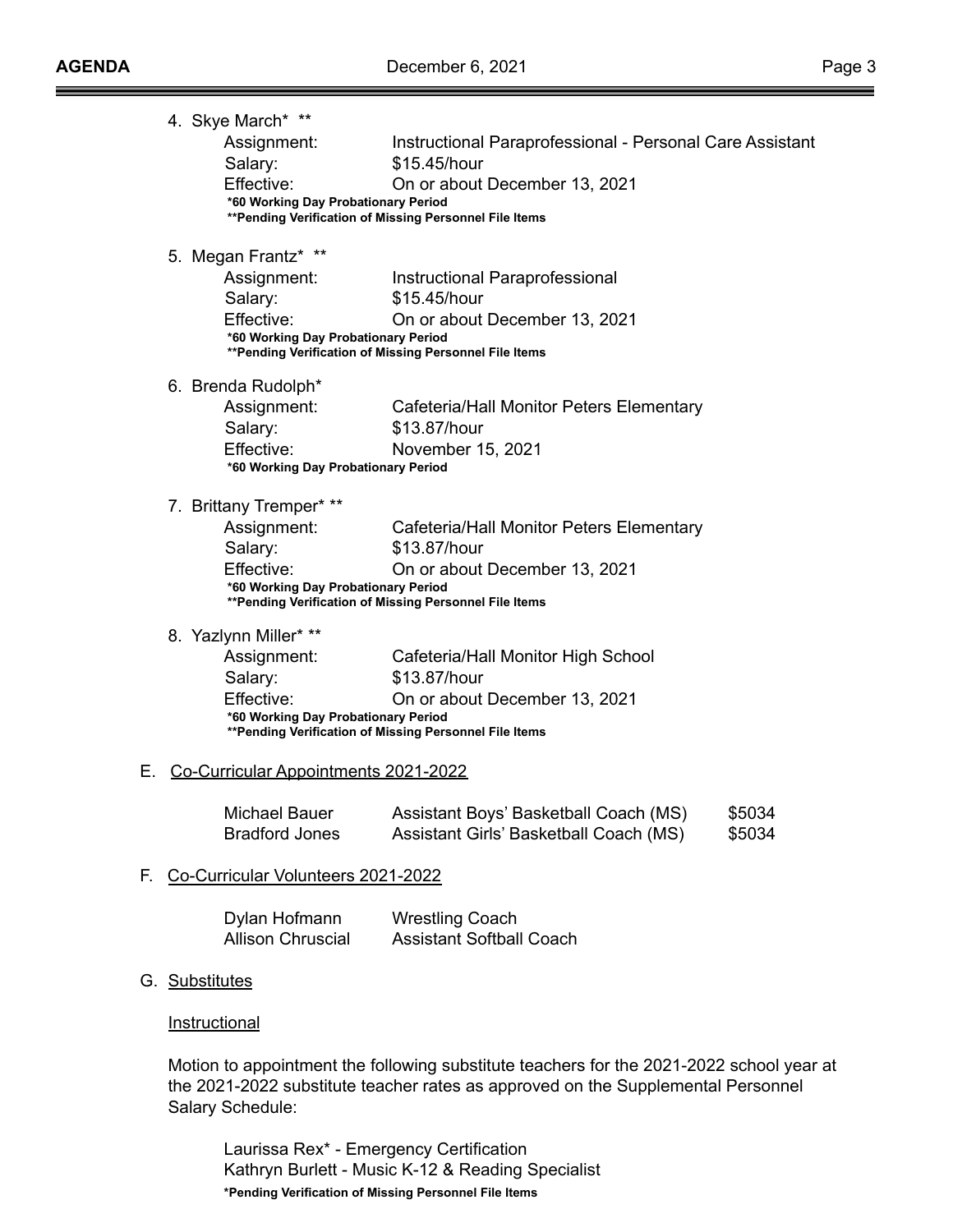|     | 4. Skye March* **<br>Assignment:<br>Salary:<br>Effective:<br>*60 Working Day Probationary Period       | Instructional Paraprofessional - Personal Care Assistant<br>\$15.45/hour<br>On or about December 13, 2021<br>** Pending Verification of Missing Personnel File Items |                  |
|-----|--------------------------------------------------------------------------------------------------------|----------------------------------------------------------------------------------------------------------------------------------------------------------------------|------------------|
|     | 5. Megan Frantz* **<br>Assignment:<br>Salary:<br>Effective:<br>*60 Working Day Probationary Period     | Instructional Paraprofessional<br>\$15.45/hour<br>On or about December 13, 2021<br>** Pending Verification of Missing Personnel File Items                           |                  |
|     | 6. Brenda Rudolph*<br>Assignment:<br>Salary:<br>Effective:<br>*60 Working Day Probationary Period      | Cafeteria/Hall Monitor Peters Elementary<br>\$13.87/hour<br>November 15, 2021                                                                                        |                  |
|     | 7. Brittany Tremper* **<br>Assignment:<br>Salary:<br>Effective:<br>*60 Working Day Probationary Period | Cafeteria/Hall Monitor Peters Elementary<br>\$13.87/hour<br>On or about December 13, 2021<br>** Pending Verification of Missing Personnel File Items                 |                  |
|     | 8. Yazlynn Miller* **<br>Assignment:<br>Salary:<br>Effective:<br>*60 Working Day Probationary Period   | Cafeteria/Hall Monitor High School<br>\$13.87/hour<br>On or about December 13, 2021<br>** Pending Verification of Missing Personnel File Items                       |                  |
| Е.  | Co-Curricular Appointments 2021-2022                                                                   |                                                                                                                                                                      |                  |
|     | Michael Bauer<br><b>Bradford Jones</b>                                                                 | Assistant Boys' Basketball Coach (MS)<br>Assistant Girls' Basketball Coach (MS)                                                                                      | \$5034<br>\$5034 |
| F., | Co-Curricular Volunteers 2021-2022                                                                     |                                                                                                                                                                      |                  |
|     | Dylan Hofmann<br><b>Allison Chruscial</b>                                                              | <b>Wrestling Coach</b><br><b>Assistant Softball Coach</b>                                                                                                            |                  |
| G.  | <b>Substitutes</b>                                                                                     |                                                                                                                                                                      |                  |
|     | Instructional                                                                                          |                                                                                                                                                                      |                  |

Motion to appointment the following substitute teachers for the 2021-2022 school year at the 2021-2022 substitute teacher rates as approved on the Supplemental Personnel Salary Schedule:

Laurissa Rex\* - Emergency Certification Kathryn Burlett - Music K-12 & Reading Specialist **\*Pending Verification of Missing Personnel File Items**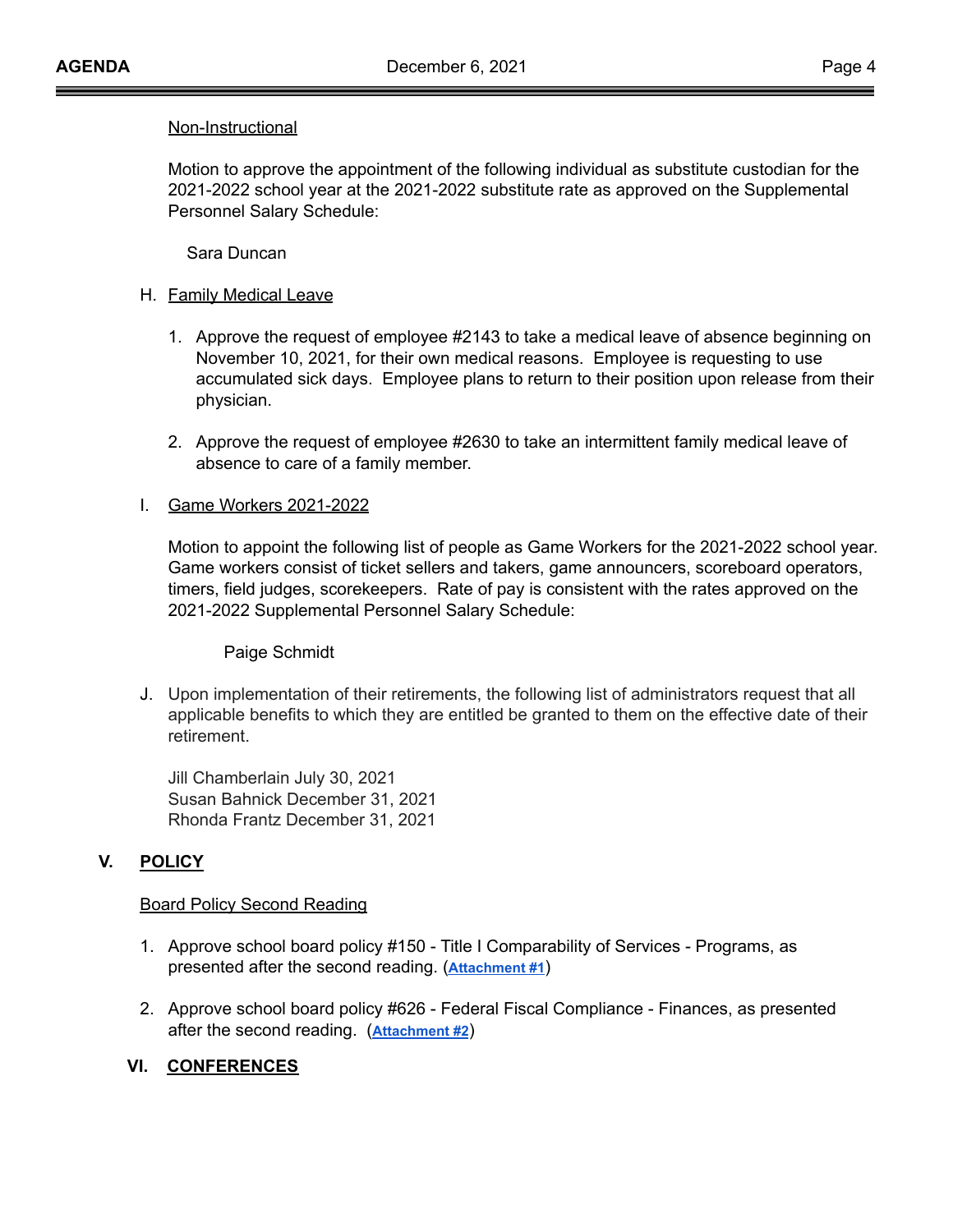### Non-Instructional

Motion to approve the appointment of the following individual as substitute custodian for the 2021-2022 school year at the 2021-2022 substitute rate as approved on the Supplemental Personnel Salary Schedule:

Sara Duncan

## H. **Family Medical Leave**

- 1. Approve the request of employee #2143 to take a medical leave of absence beginning on November 10, 2021, for their own medical reasons. Employee is requesting to use accumulated sick days. Employee plans to return to their position upon release from their physician.
- 2. Approve the request of employee #2630 to take an intermittent family medical leave of absence to care of a family member.

## I. Game Workers 2021-2022

Motion to appoint the following list of people as Game Workers for the 2021-2022 school year. Game workers consist of ticket sellers and takers, game announcers, scoreboard operators, timers, field judges, scorekeepers. Rate of pay is consistent with the rates approved on the 2021-2022 Supplemental Personnel Salary Schedule:

Paige Schmidt

J. Upon implementation of their retirements, the following list of administrators request that all applicable benefits to which they are entitled be granted to them on the effective date of their retirement.

Jill Chamberlain July 30, 2021 Susan Bahnick December 31, 2021 Rhonda Frantz December 31, 2021

# **V. POLICY**

## Board Policy Second Reading

- 1. Approve school board policy #150 Title I Comparability of Services Programs, as presented after the second reading. (**[Attachment](https://drive.google.com/file/d/1QX-NL_7YzUJoYRVr89NqivuetGugQJdh/view?usp=sharing) #1**)
- 2. Approve school board policy #626 Federal Fiscal Compliance Finances, as presented after the second reading. (**[Attachment #2](https://drive.google.com/file/d/1L-PWKy6o9SCarofo1b-dClZIYglAcHmS/view?usp=sharing)**)

# **VI. CONFERENCES**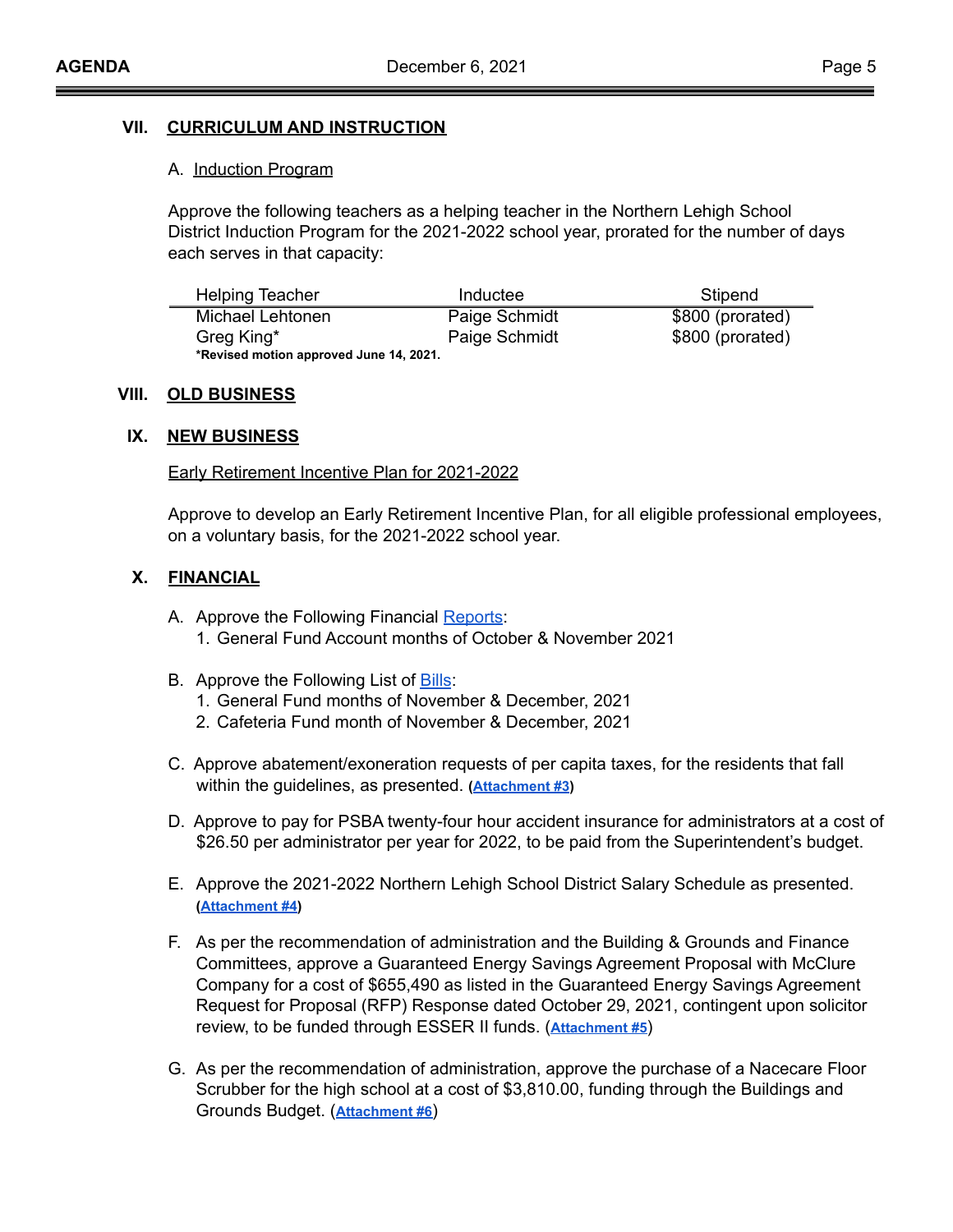## **VII. CURRICULUM AND INSTRUCTION**

#### A. Induction Program

Approve the following teachers as a helping teacher in the Northern Lehigh School District Induction Program for the 2021-2022 school year, prorated for the number of days each serves in that capacity:

| <b>Helping Teacher</b>                  | Inductee      | Stipend          |  |  |
|-----------------------------------------|---------------|------------------|--|--|
| Michael Lehtonen                        | Paige Schmidt | \$800 (prorated) |  |  |
| Greg King*                              | Paige Schmidt | \$800 (prorated) |  |  |
| *Revised motion approved June 14, 2021. |               |                  |  |  |

### **VIII. OLD BUSINESS**

### **IX. NEW BUSINESS**

#### Early Retirement Incentive Plan for 2021-2022

Approve to develop an Early Retirement Incentive Plan, for all eligible professional employees, on a voluntary basis, for the 2021-2022 school year.

### **X. FINANCIAL**

- A. Approve the Following Financial [Reports](https://drive.google.com/file/d/1VqcPaXUfbSuUbb3tpgA1IaMrFkgmleQ1/view?usp=sharing): 1. General Fund Account months of October & November 2021
- B. Approve the Following List of [Bills](https://drive.google.com/file/d/1GAVkIC7hz2ycIv7daBt0n9JVnXDIt46s/view?usp=sharing):
	- 1. General Fund months of November & December, 2021
	- 2. Cafeteria Fund month of November & December, 2021
- C. Approve abatement/exoneration requests of per capita taxes, for the residents that fall within the guidelines, as presented. **[\(Attachment](https://drive.google.com/file/d/175W4_vaaax5VnktTvIjSZV3nOzq5DoKk/view?usp=sharing) #3)**
- D. Approve to pay for PSBA twenty-four hour accident insurance for administrators at a cost of \$26.50 per administrator per year for 2022, to be paid from the Superintendent's budget.
- E. Approve the 2021-2022 Northern Lehigh School District Salary Schedule as presented. **([Attachment #4](https://drive.google.com/file/d/1p4HHWNdnkL3JxfN2uIqi7TEn-QY8EomC/view?usp=sharing))**
- F. As per the recommendation of administration and the Building & Grounds and Finance Committees, approve a Guaranteed Energy Savings Agreement Proposal with McClure Company for a cost of \$655,490 as listed in the Guaranteed Energy Savings Agreement Request for Proposal (RFP) Response dated October 29, 2021, contingent upon solicitor review, to be funded through ESSER II funds. (**[Attachment](https://drive.google.com/file/d/1LkrXLfwPbtj3z90BHLy3HkVRn_z9yn6T/view?usp=sharing) #5**)
- G. As per the recommendation of administration, approve the purchase of a Nacecare Floor Scrubber for the high school at a cost of \$3,810.00, funding through the Buildings and Grounds Budget. (**[Attachment #6](https://drive.google.com/file/d/1-8oQILHqNJ1WjpEqu0U7WSJjFAMaEmPf/view?usp=sharing)**)